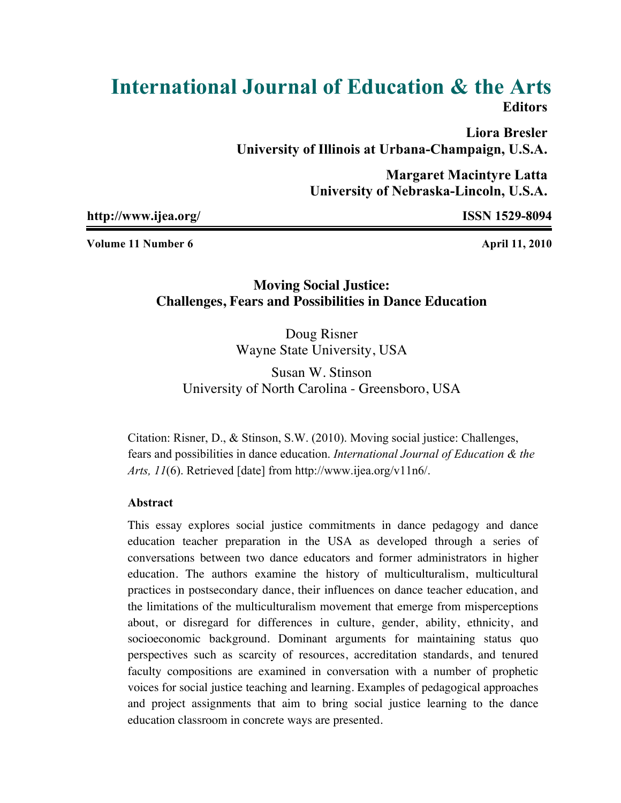# **International Journal of Education & the Arts Editors**

**Liora Bresler University of Illinois at Urbana-Champaign, U.S.A.**

> **Margaret Macintyre Latta University of Nebraska-Lincoln, U.S.A.**

**http://www.ijea.org/ ISSN 1529-8094**

**Volume 11 Number 6 April 11, 2010** 

## **Moving Social Justice: Challenges, Fears and Possibilities in Dance Education**

Doug Risner Wayne State University, USA

Susan W. Stinson University of North Carolina - Greensboro, USA

Citation: Risner, D., & Stinson, S.W. (2010). Moving social justice: Challenges, fears and possibilities in dance education. *International Journal of Education & the Arts, 11*(6). Retrieved [date] from http://www.ijea.org/v11n6/.

### **Abstract**

This essay explores social justice commitments in dance pedagogy and dance education teacher preparation in the USA as developed through a series of conversations between two dance educators and former administrators in higher education. The authors examine the history of multiculturalism, multicultural practices in postsecondary dance, their influences on dance teacher education, and the limitations of the multiculturalism movement that emerge from misperceptions about, or disregard for differences in culture, gender, ability, ethnicity, and socioeconomic background. Dominant arguments for maintaining status quo perspectives such as scarcity of resources, accreditation standards, and tenured faculty compositions are examined in conversation with a number of prophetic voices for social justice teaching and learning. Examples of pedagogical approaches and project assignments that aim to bring social justice learning to the dance education classroom in concrete ways are presented.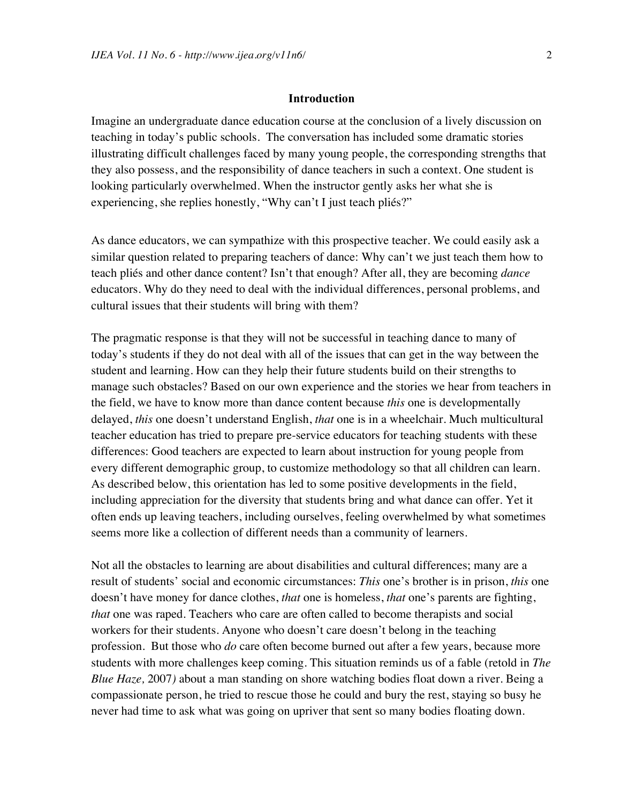#### **Introduction**

Imagine an undergraduate dance education course at the conclusion of a lively discussion on teaching in today's public schools. The conversation has included some dramatic stories illustrating difficult challenges faced by many young people, the corresponding strengths that they also possess, and the responsibility of dance teachers in such a context. One student is looking particularly overwhelmed. When the instructor gently asks her what she is experiencing, she replies honestly, "Why can't I just teach pliés?"

As dance educators, we can sympathize with this prospective teacher. We could easily ask a similar question related to preparing teachers of dance: Why can't we just teach them how to teach pliés and other dance content? Isn't that enough? After all, they are becoming *dance* educators. Why do they need to deal with the individual differences, personal problems, and cultural issues that their students will bring with them?

The pragmatic response is that they will not be successful in teaching dance to many of today's students if they do not deal with all of the issues that can get in the way between the student and learning. How can they help their future students build on their strengths to manage such obstacles? Based on our own experience and the stories we hear from teachers in the field, we have to know more than dance content because *this* one is developmentally delayed, *this* one doesn't understand English, *that* one is in a wheelchair. Much multicultural teacher education has tried to prepare pre-service educators for teaching students with these differences: Good teachers are expected to learn about instruction for young people from every different demographic group, to customize methodology so that all children can learn. As described below, this orientation has led to some positive developments in the field, including appreciation for the diversity that students bring and what dance can offer. Yet it often ends up leaving teachers, including ourselves, feeling overwhelmed by what sometimes seems more like a collection of different needs than a community of learners.

Not all the obstacles to learning are about disabilities and cultural differences; many are a result of students' social and economic circumstances: *This* one's brother is in prison, *this* one doesn't have money for dance clothes, *that* one is homeless, *that* one's parents are fighting, *that* one was raped. Teachers who care are often called to become therapists and social workers for their students. Anyone who doesn't care doesn't belong in the teaching profession. But those who *do* care often become burned out after a few years, because more students with more challenges keep coming. This situation reminds us of a fable (retold in *The Blue Haze,* 2007*)* about a man standing on shore watching bodies float down a river. Being a compassionate person, he tried to rescue those he could and bury the rest, staying so busy he never had time to ask what was going on upriver that sent so many bodies floating down.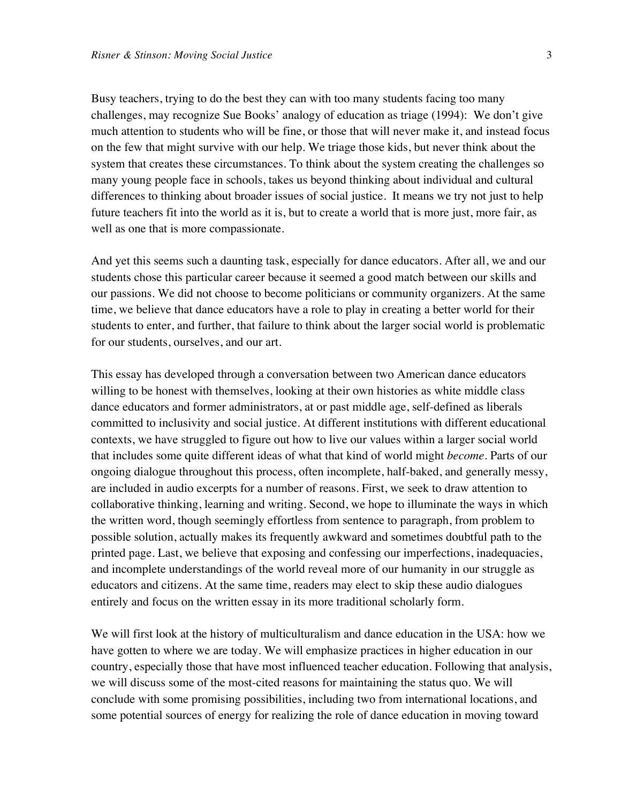Busy teachers, trying to do the best they can with too many students facing too many challenges, may recognize Sue Books' analogy of education as triage (1994): We don't give much attention to students who will be fine, or those that will never make it, and instead focus on the few that might survive with our help. We triage those kids, but never think about the system that creates these circumstances. To think about the system creating the challenges so many young people face in schools, takes us beyond thinking about individual and cultural differences to thinking about broader issues of social justice. It means we try not just to help future teachers fit into the world as it is, but to create a world that is more just, more fair, as well as one that is more compassionate.

And yet this seems such a daunting task, especially for dance educators. After all, we and our students chose this particular career because it seemed a good match between our skills and our passions. We did not choose to become politicians or community organizers. At the same time, we believe that dance educators have a role to play in creating a better world for their students to enter, and further, that failure to think about the larger social world is problematic for our students, ourselves, and our art.

This essay has developed through a conversation between two American dance educators willing to be honest with themselves, looking at their own histories as white middle class dance educators and former administrators, at or past middle age, self-defined as liberals committed to inclusivity and social justice. At different institutions with different educational contexts, we have struggled to figure out how to live our values within a larger social world that includes some quite different ideas of what that kind of world might *become*. Parts of our ongoing dialogue throughout this process, often incomplete, half-baked, and generally messy, are included in audio excerpts for a number of reasons. First, we seek to draw attention to collaborative thinking, learning and writing. Second, we hope to illuminate the ways in which the written word, though seemingly effortless from sentence to paragraph, from problem to possible solution, actually makes its frequently awkward and sometimes doubtful path to the printed page. Last, we believe that exposing and confessing our imperfections, inadequacies, and incomplete understandings of the world reveal more of our humanity in our struggle as educators and citizens. At the same time, readers may elect to skip these audio dialogues entirely and focus on the written essay in its more traditional scholarly form.

We will first look at the history of multiculturalism and dance education in the USA: how we have gotten to where we are today. We will emphasize practices in higher education in our country, especially those that have most influenced teacher education. Following that analysis, we will discuss some of the most-cited reasons for maintaining the status quo. We will conclude with some promising possibilities, including two from international locations, and some potential sources of energy for realizing the role of dance education in moving toward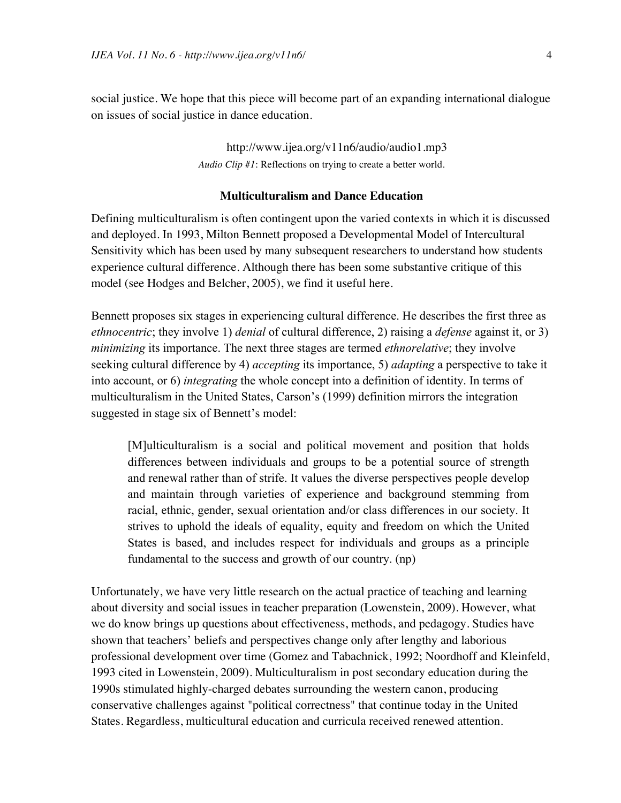social justice. We hope that this piece will become part of an expanding international dialogue on issues of social justice in dance education.

> [http://www.ijea.org/v11n6/](http://www.ijea.org/v11n6/audio/audio1.mp3)audio/audio1.mp3 *Audio Clip #1*: Reflections on trying to create a better world.

#### **Multiculturalism and Dance Education**

Defining multiculturalism is often contingent upon the varied contexts in which it is discussed and deployed. In 1993, Milton Bennett proposed a Developmental Model of Intercultural Sensitivity which has been used by many subsequent researchers to understand how students experience cultural difference. Although there has been some substantive critique of this model (see Hodges and Belcher, 2005), we find it useful here.

Bennett proposes six stages in experiencing cultural difference. He describes the first three as *ethnocentric*; they involve 1) *denial* of cultural difference, 2) raising a *defense* against it, or 3) *minimizing* its importance. The next three stages are termed *ethnorelative*; they involve seeking cultural difference by 4) *accepting* its importance, 5) *adapting* a perspective to take it into account, or 6) *integrating* the whole concept into a definition of identity. In terms of multiculturalism in the United States, Carson's (1999) definition mirrors the integration suggested in stage six of Bennett's model:

[M]ulticulturalism is a social and political movement and position that holds differences between individuals and groups to be a potential source of strength and renewal rather than of strife. It values the diverse perspectives people develop and maintain through varieties of experience and background stemming from racial, ethnic, gender, sexual orientation and/or class differences in our society. It strives to uphold the ideals of equality, equity and freedom on which the United States is based, and includes respect for individuals and groups as a principle fundamental to the success and growth of our country. (np)

Unfortunately, we have very little research on the actual practice of teaching and learning about diversity and social issues in teacher preparation (Lowenstein, 2009). However, what we do know brings up questions about effectiveness, methods, and pedagogy. Studies have shown that teachers' beliefs and perspectives change only after lengthy and laborious professional development over time (Gomez and Tabachnick, 1992; Noordhoff and Kleinfeld, 1993 cited in Lowenstein, 2009). Multiculturalism in post secondary education during the 1990s stimulated highly-charged debates surrounding the western canon, producing conservative challenges against "political correctness" that continue today in the United States. Regardless, multicultural education and curricula received renewed attention.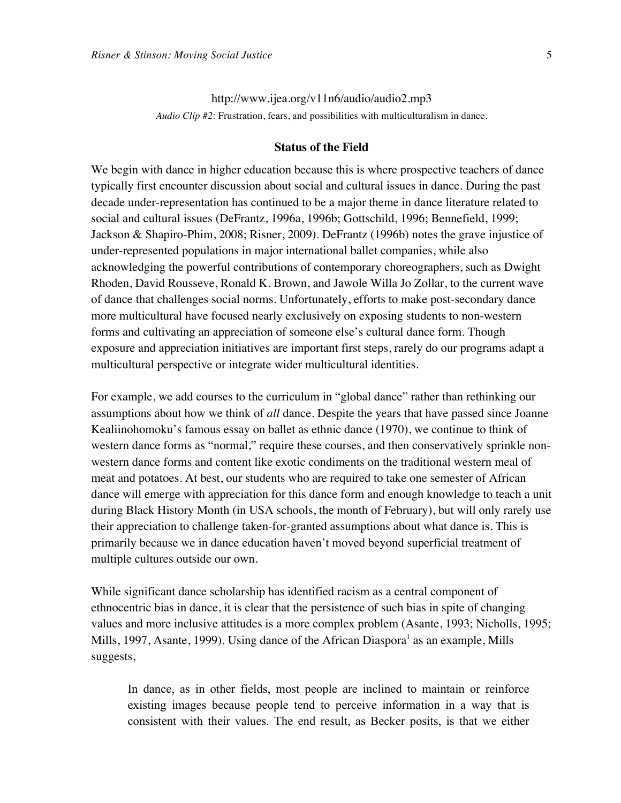<http://www.ijea.org/v11n6/audio/audio2.mp3> *Audio Clip #2*: Frustration, fears, and possibilities with multiculturalism in dance.

#### **Status of the Field**

We begin with dance in higher education because this is where prospective teachers of dance typically first encounter discussion about social and cultural issues in dance. During the past decade under-representation has continued to be a major theme in dance literature related to social and cultural issues (DeFrantz, 1996a, 1996b; Gottschild, 1996; Bennefield, 1999; Jackson & Shapiro-Phim, 2008; Risner, 2009). DeFrantz (1996b) notes the grave injustice of under-represented populations in major international ballet companies, while also acknowledging the powerful contributions of contemporary choreographers, such as Dwight Rhoden, David Rousseve, Ronald K. Brown, and Jawole Willa Jo Zollar, to the current wave of dance that challenges social norms. Unfortunately, efforts to make post-secondary dance more multicultural have focused nearly exclusively on exposing students to non-western forms and cultivating an appreciation of someone else's cultural dance form. Though exposure and appreciation initiatives are important first steps, rarely do our programs adapt a multicultural perspective or integrate wider multicultural identities.

For example, we add courses to the curriculum in "global dance" rather than rethinking our assumptions about how we think of *all* dance. Despite the years that have passed since Joanne Kealiinohomoku's famous essay on ballet as ethnic dance (1970), we continue to think of western dance forms as "normal," require these courses, and then conservatively sprinkle nonwestern dance forms and content like exotic condiments on the traditional western meal of meat and potatoes. At best, our students who are required to take one semester of African dance will emerge with appreciation for this dance form and enough knowledge to teach a unit during Black History Month (in USA schools, the month of February), but will only rarely use their appreciation to challenge taken-for-granted assumptions about what dance is. This is primarily because we in dance education haven't moved beyond superficial treatment of multiple cultures outside our own.

While significant dance scholarship has identified racism as a central component of ethnocentric bias in dance, it is clear that the persistence of such bias in spite of changing values and more inclusive attitudes is a more complex problem (Asante, 1993; Nicholls, 1995; Mills, 1997, Asante, 1999). Using dance of the African Diaspora<sup>1</sup> as an example, Mills suggests,

In dance, as in other fields, most people are inclined to maintain or reinforce existing images because people tend to perceive information in a way that is consistent with their values. The end result, as Becker posits, is that we either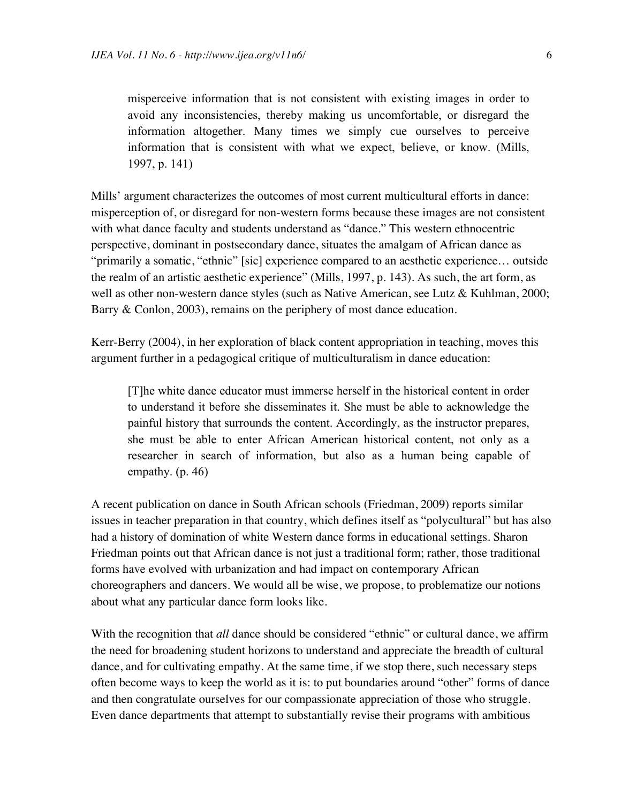misperceive information that is not consistent with existing images in order to avoid any inconsistencies, thereby making us uncomfortable, or disregard the information altogether. Many times we simply cue ourselves to perceive information that is consistent with what we expect, believe, or know. (Mills, 1997, p. 141)

Mills' argument characterizes the outcomes of most current multicultural efforts in dance: misperception of, or disregard for non-western forms because these images are not consistent with what dance faculty and students understand as "dance." This western ethnocentric perspective, dominant in postsecondary dance, situates the amalgam of African dance as "primarily a somatic, "ethnic" [sic] experience compared to an aesthetic experience… outside the realm of an artistic aesthetic experience" (Mills, 1997, p. 143). As such, the art form, as well as other non-western dance styles (such as Native American, see Lutz & Kuhlman, 2000; Barry & Conlon, 2003), remains on the periphery of most dance education.

Kerr-Berry (2004), in her exploration of black content appropriation in teaching, moves this argument further in a pedagogical critique of multiculturalism in dance education:

[T]he white dance educator must immerse herself in the historical content in order to understand it before she disseminates it. She must be able to acknowledge the painful history that surrounds the content. Accordingly, as the instructor prepares, she must be able to enter African American historical content, not only as a researcher in search of information, but also as a human being capable of empathy. (p. 46)

A recent publication on dance in South African schools (Friedman, 2009) reports similar issues in teacher preparation in that country, which defines itself as "polycultural" but has also had a history of domination of white Western dance forms in educational settings. Sharon Friedman points out that African dance is not just a traditional form; rather, those traditional forms have evolved with urbanization and had impact on contemporary African choreographers and dancers. We would all be wise, we propose, to problematize our notions about what any particular dance form looks like.

With the recognition that *all* dance should be considered "ethnic" or cultural dance, we affirm the need for broadening student horizons to understand and appreciate the breadth of cultural dance, and for cultivating empathy. At the same time, if we stop there, such necessary steps often become ways to keep the world as it is: to put boundaries around "other" forms of dance and then congratulate ourselves for our compassionate appreciation of those who struggle. Even dance departments that attempt to substantially revise their programs with ambitious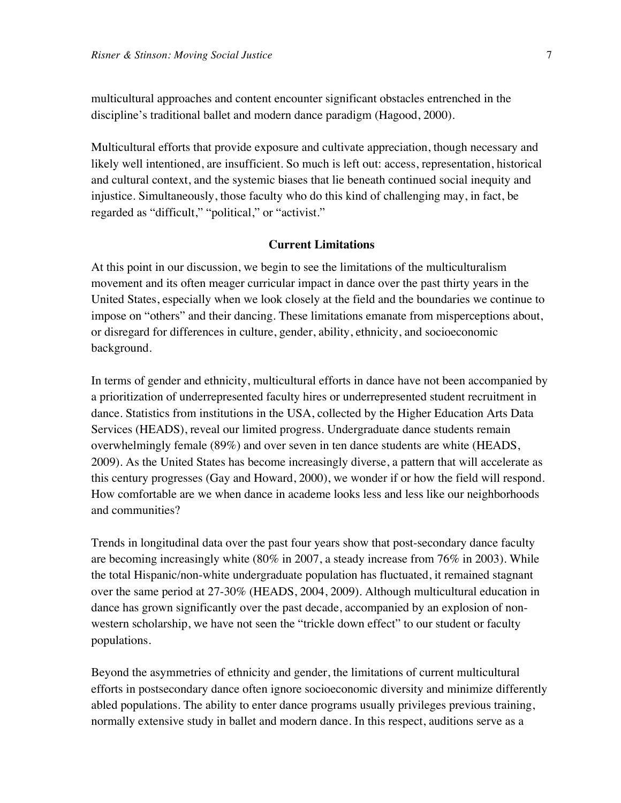multicultural approaches and content encounter significant obstacles entrenched in the discipline's traditional ballet and modern dance paradigm (Hagood, 2000).

Multicultural efforts that provide exposure and cultivate appreciation, though necessary and likely well intentioned, are insufficient. So much is left out: access, representation, historical and cultural context, and the systemic biases that lie beneath continued social inequity and injustice. Simultaneously, those faculty who do this kind of challenging may, in fact, be regarded as "difficult," "political," or "activist."

#### **Current Limitations**

At this point in our discussion, we begin to see the limitations of the multiculturalism movement and its often meager curricular impact in dance over the past thirty years in the United States, especially when we look closely at the field and the boundaries we continue to impose on "others" and their dancing. These limitations emanate from misperceptions about, or disregard for differences in culture, gender, ability, ethnicity, and socioeconomic background.

In terms of gender and ethnicity, multicultural efforts in dance have not been accompanied by a prioritization of underrepresented faculty hires or underrepresented student recruitment in dance. Statistics from institutions in the USA, collected by the Higher Education Arts Data Services (HEADS), reveal our limited progress. Undergraduate dance students remain overwhelmingly female (89%) and over seven in ten dance students are white (HEADS, 2009). As the United States has become increasingly diverse, a pattern that will accelerate as this century progresses (Gay and Howard, 2000), we wonder if or how the field will respond. How comfortable are we when dance in academe looks less and less like our neighborhoods and communities?

Trends in longitudinal data over the past four years show that post-secondary dance faculty are becoming increasingly white (80% in 2007, a steady increase from 76% in 2003). While the total Hispanic/non-white undergraduate population has fluctuated, it remained stagnant over the same period at 27-30% (HEADS, 2004, 2009). Although multicultural education in dance has grown significantly over the past decade, accompanied by an explosion of nonwestern scholarship, we have not seen the "trickle down effect" to our student or faculty populations.

Beyond the asymmetries of ethnicity and gender, the limitations of current multicultural efforts in postsecondary dance often ignore socioeconomic diversity and minimize differently abled populations. The ability to enter dance programs usually privileges previous training, normally extensive study in ballet and modern dance. In this respect, auditions serve as a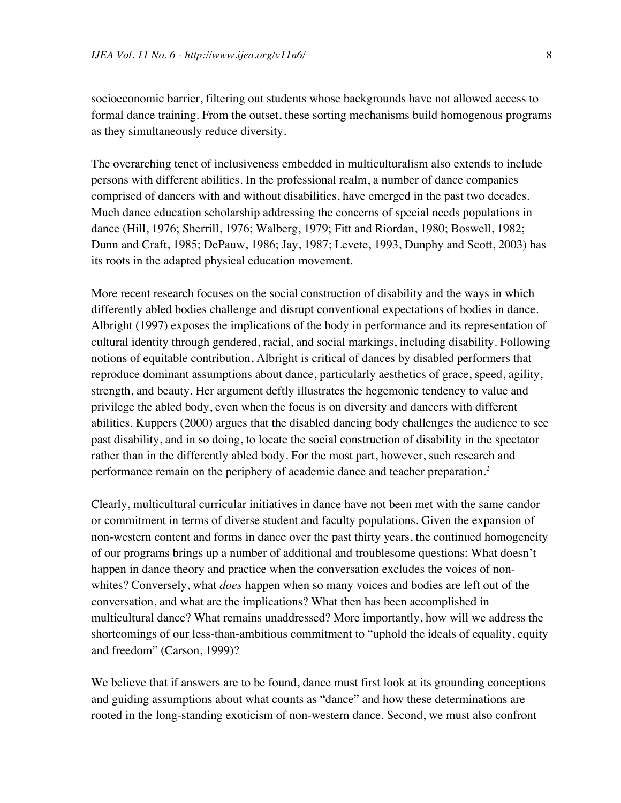socioeconomic barrier, filtering out students whose backgrounds have not allowed access to formal dance training. From the outset, these sorting mechanisms build homogenous programs as they simultaneously reduce diversity.

The overarching tenet of inclusiveness embedded in multiculturalism also extends to include persons with different abilities. In the professional realm, a number of dance companies comprised of dancers with and without disabilities, have emerged in the past two decades. Much dance education scholarship addressing the concerns of special needs populations in dance (Hill, 1976; Sherrill, 1976; Walberg, 1979; Fitt and Riordan, 1980; Boswell, 1982; Dunn and Craft, 1985; DePauw, 1986; Jay, 1987; Levete, 1993, Dunphy and Scott, 2003) has its roots in the adapted physical education movement.

More recent research focuses on the social construction of disability and the ways in which differently abled bodies challenge and disrupt conventional expectations of bodies in dance. Albright (1997) exposes the implications of the body in performance and its representation of cultural identity through gendered, racial, and social markings, including disability. Following notions of equitable contribution, Albright is critical of dances by disabled performers that reproduce dominant assumptions about dance, particularly aesthetics of grace, speed, agility, strength, and beauty. Her argument deftly illustrates the hegemonic tendency to value and privilege the abled body, even when the focus is on diversity and dancers with different abilities. Kuppers (2000) argues that the disabled dancing body challenges the audience to see past disability, and in so doing, to locate the social construction of disability in the spectator rather than in the differently abled body. For the most part, however, such research and performance remain on the periphery of academic dance and teacher preparation.<sup>2</sup>

Clearly, multicultural curricular initiatives in dance have not been met with the same candor or commitment in terms of diverse student and faculty populations. Given the expansion of non-western content and forms in dance over the past thirty years, the continued homogeneity of our programs brings up a number of additional and troublesome questions: What doesn't happen in dance theory and practice when the conversation excludes the voices of nonwhites? Conversely, what *does* happen when so many voices and bodies are left out of the conversation, and what are the implications? What then has been accomplished in multicultural dance? What remains unaddressed? More importantly, how will we address the shortcomings of our less-than-ambitious commitment to "uphold the ideals of equality, equity and freedom" (Carson, 1999)?

We believe that if answers are to be found, dance must first look at its grounding conceptions and guiding assumptions about what counts as "dance" and how these determinations are rooted in the long-standing exoticism of non-western dance. Second, we must also confront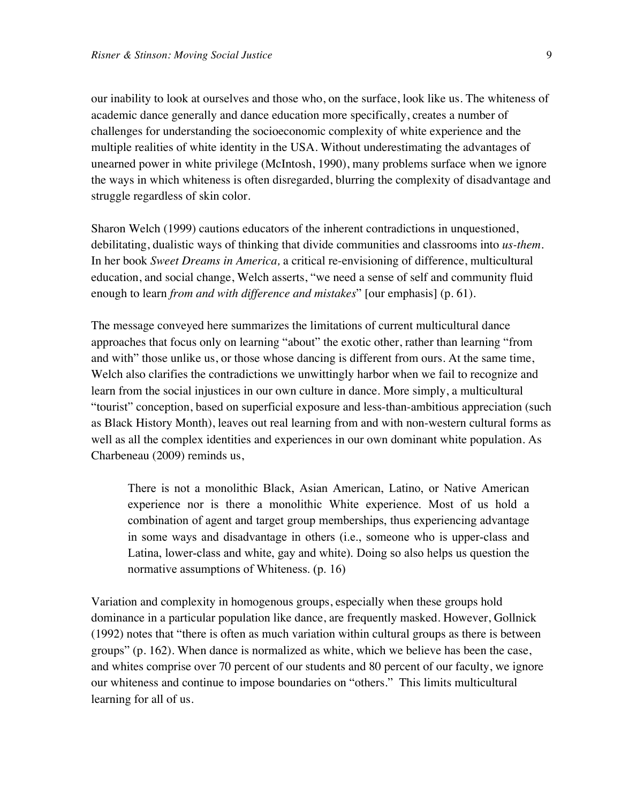our inability to look at ourselves and those who, on the surface, look like us. The whiteness of academic dance generally and dance education more specifically, creates a number of challenges for understanding the socioeconomic complexity of white experience and the multiple realities of white identity in the USA. Without underestimating the advantages of unearned power in white privilege (McIntosh, 1990), many problems surface when we ignore the ways in which whiteness is often disregarded, blurring the complexity of disadvantage and struggle regardless of skin color.

Sharon Welch (1999) cautions educators of the inherent contradictions in unquestioned, debilitating, dualistic ways of thinking that divide communities and classrooms into *us-them.*  In her book *Sweet Dreams in America,* a critical re-envisioning of difference, multicultural education, and social change, Welch asserts, "we need a sense of self and community fluid enough to learn *from and with difference and mistakes*" [our emphasis] (p. 61).

The message conveyed here summarizes the limitations of current multicultural dance approaches that focus only on learning "about" the exotic other, rather than learning "from and with" those unlike us, or those whose dancing is different from ours. At the same time, Welch also clarifies the contradictions we unwittingly harbor when we fail to recognize and learn from the social injustices in our own culture in dance. More simply, a multicultural "tourist" conception, based on superficial exposure and less-than-ambitious appreciation (such as Black History Month), leaves out real learning from and with non-western cultural forms as well as all the complex identities and experiences in our own dominant white population. As Charbeneau (2009) reminds us,

There is not a monolithic Black, Asian American, Latino, or Native American experience nor is there a monolithic White experience. Most of us hold a combination of agent and target group memberships, thus experiencing advantage in some ways and disadvantage in others (i.e., someone who is upper-class and Latina, lower-class and white, gay and white). Doing so also helps us question the normative assumptions of Whiteness. (p. 16)

Variation and complexity in homogenous groups, especially when these groups hold dominance in a particular population like dance, are frequently masked. However, Gollnick (1992) notes that "there is often as much variation within cultural groups as there is between groups" (p. 162). When dance is normalized as white, which we believe has been the case, and whites comprise over 70 percent of our students and 80 percent of our faculty, we ignore our whiteness and continue to impose boundaries on "others." This limits multicultural learning for all of us.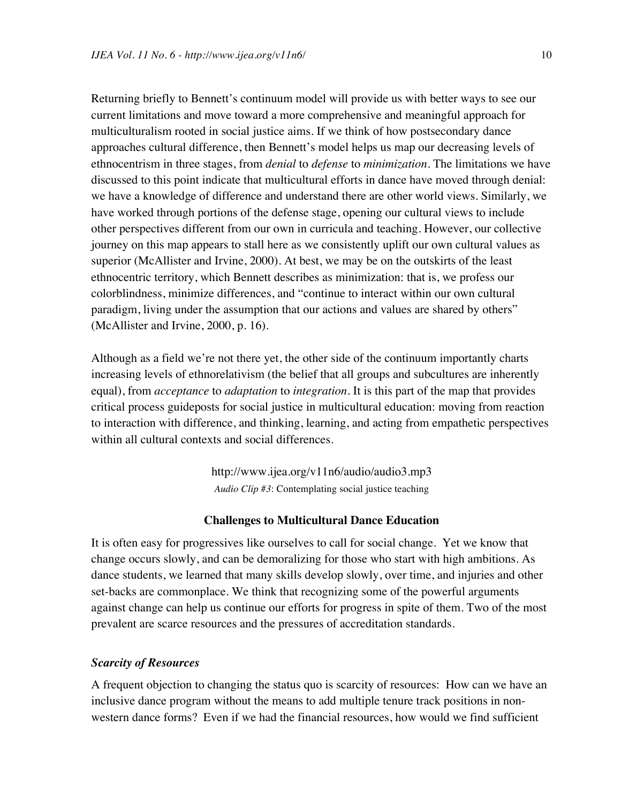Returning briefly to Bennett's continuum model will provide us with better ways to see our current limitations and move toward a more comprehensive and meaningful approach for multiculturalism rooted in social justice aims. If we think of how postsecondary dance approaches cultural difference, then Bennett's model helps us map our decreasing levels of ethnocentrism in three stages, from *denial* to *defense* to *minimization*. The limitations we have discussed to this point indicate that multicultural efforts in dance have moved through denial: we have a knowledge of difference and understand there are other world views. Similarly, we have worked through portions of the defense stage, opening our cultural views to include other perspectives different from our own in curricula and teaching. However, our collective journey on this map appears to stall here as we consistently uplift our own cultural values as superior (McAllister and Irvine, 2000). At best, we may be on the outskirts of the least ethnocentric territory, which Bennett describes as minimization: that is, we profess our colorblindness, minimize differences, and "continue to interact within our own cultural paradigm, living under the assumption that our actions and values are shared by others" (McAllister and Irvine, 2000, p. 16).

Although as a field we're not there yet, the other side of the continuum importantly charts increasing levels of ethnorelativism (the belief that all groups and subcultures are inherently equal), from *acceptance* to *adaptation* to *integration*. It is this part of the map that provides critical process guideposts for social justice in multicultural education: moving from reaction to interaction with difference, and thinking, learning, and acting from empathetic perspectives within all cultural contexts and social differences.

> <http://www.ijea.org/v11n6/audio/audio3.mp3> *Audio Clip #3*: Contemplating social justice teaching

#### **Challenges to Multicultural Dance Education**

It is often easy for progressives like ourselves to call for social change. Yet we know that change occurs slowly, and can be demoralizing for those who start with high ambitions. As dance students, we learned that many skills develop slowly, over time, and injuries and other set-backs are commonplace. We think that recognizing some of the powerful arguments against change can help us continue our efforts for progress in spite of them. Two of the most prevalent are scarce resources and the pressures of accreditation standards.

#### *Scarcity of Resources*

A frequent objection to changing the status quo is scarcity of resources: How can we have an inclusive dance program without the means to add multiple tenure track positions in nonwestern dance forms? Even if we had the financial resources, how would we find sufficient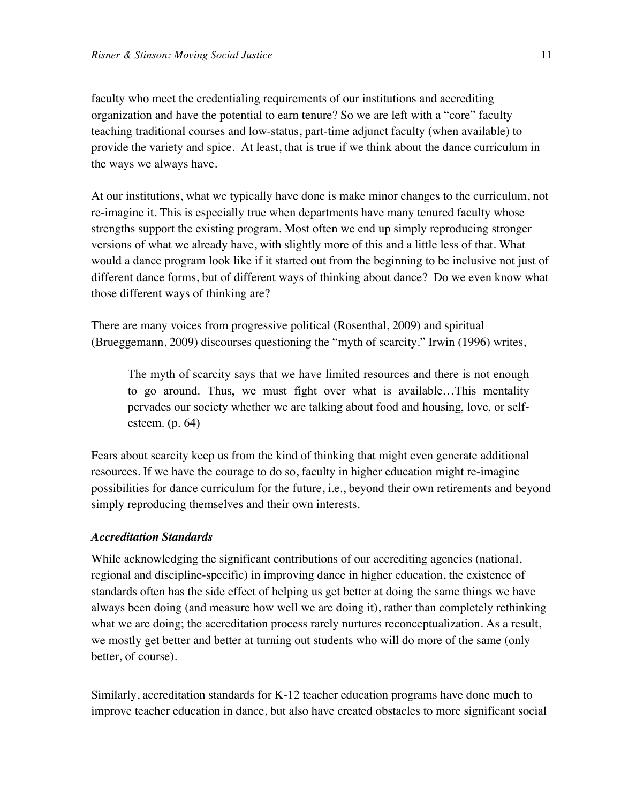faculty who meet the credentialing requirements of our institutions and accrediting organization and have the potential to earn tenure? So we are left with a "core" faculty teaching traditional courses and low-status, part-time adjunct faculty (when available) to provide the variety and spice. At least, that is true if we think about the dance curriculum in the ways we always have.

At our institutions, what we typically have done is make minor changes to the curriculum, not re-imagine it. This is especially true when departments have many tenured faculty whose strengths support the existing program. Most often we end up simply reproducing stronger versions of what we already have, with slightly more of this and a little less of that. What would a dance program look like if it started out from the beginning to be inclusive not just of different dance forms, but of different ways of thinking about dance? Do we even know what those different ways of thinking are?

There are many voices from progressive political (Rosenthal, 2009) and spiritual (Brueggemann, 2009) discourses questioning the "myth of scarcity." Irwin (1996) writes,

The myth of scarcity says that we have limited resources and there is not enough to go around. Thus, we must fight over what is available…This mentality pervades our society whether we are talking about food and housing, love, or selfesteem. (p. 64)

Fears about scarcity keep us from the kind of thinking that might even generate additional resources. If we have the courage to do so, faculty in higher education might re-imagine possibilities for dance curriculum for the future, i.e., beyond their own retirements and beyond simply reproducing themselves and their own interests.

#### *Accreditation Standards*

While acknowledging the significant contributions of our accrediting agencies (national, regional and discipline-specific) in improving dance in higher education, the existence of standards often has the side effect of helping us get better at doing the same things we have always been doing (and measure how well we are doing it), rather than completely rethinking what we are doing; the accreditation process rarely nurtures reconceptualization. As a result, we mostly get better and better at turning out students who will do more of the same (only better, of course).

Similarly, accreditation standards for K-12 teacher education programs have done much to improve teacher education in dance, but also have created obstacles to more significant social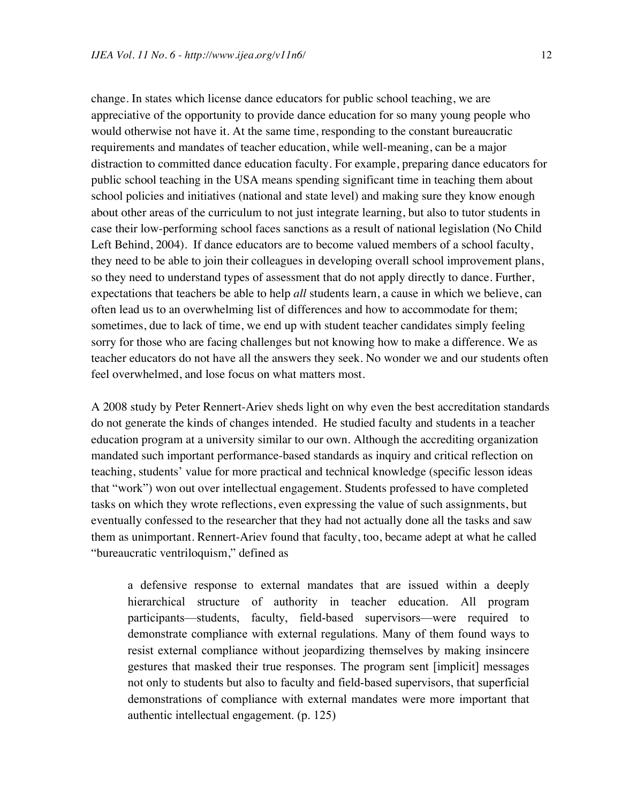change. In states which license dance educators for public school teaching, we are appreciative of the opportunity to provide dance education for so many young people who would otherwise not have it. At the same time, responding to the constant bureaucratic requirements and mandates of teacher education, while well-meaning, can be a major distraction to committed dance education faculty. For example, preparing dance educators for public school teaching in the USA means spending significant time in teaching them about school policies and initiatives (national and state level) and making sure they know enough about other areas of the curriculum to not just integrate learning, but also to tutor students in case their low-performing school faces sanctions as a result of national legislation (No Child Left Behind, 2004). If dance educators are to become valued members of a school faculty, they need to be able to join their colleagues in developing overall school improvement plans, so they need to understand types of assessment that do not apply directly to dance. Further, expectations that teachers be able to help *all* students learn, a cause in which we believe, can often lead us to an overwhelming list of differences and how to accommodate for them; sometimes, due to lack of time, we end up with student teacher candidates simply feeling sorry for those who are facing challenges but not knowing how to make a difference. We as teacher educators do not have all the answers they seek. No wonder we and our students often feel overwhelmed, and lose focus on what matters most.

A 2008 study by Peter Rennert-Ariev sheds light on why even the best accreditation standards do not generate the kinds of changes intended. He studied faculty and students in a teacher education program at a university similar to our own. Although the accrediting organization mandated such important performance-based standards as inquiry and critical reflection on teaching, students' value for more practical and technical knowledge (specific lesson ideas that "work") won out over intellectual engagement. Students professed to have completed tasks on which they wrote reflections, even expressing the value of such assignments, but eventually confessed to the researcher that they had not actually done all the tasks and saw them as unimportant. Rennert-Ariev found that faculty, too, became adept at what he called "bureaucratic ventriloquism," defined as

a defensive response to external mandates that are issued within a deeply hierarchical structure of authority in teacher education. All program participants—students, faculty, field-based supervisors—were required to demonstrate compliance with external regulations. Many of them found ways to resist external compliance without jeopardizing themselves by making insincere gestures that masked their true responses. The program sent [implicit] messages not only to students but also to faculty and field-based supervisors, that superficial demonstrations of compliance with external mandates were more important that authentic intellectual engagement. (p. 125)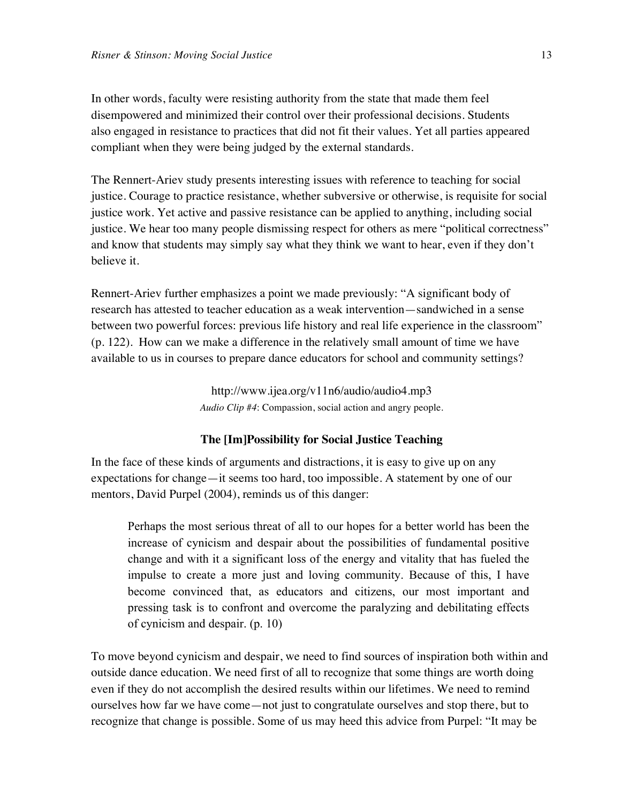In other words, faculty were resisting authority from the state that made them feel disempowered and minimized their control over their professional decisions. Students also engaged in resistance to practices that did not fit their values. Yet all parties appeared compliant when they were being judged by the external standards.

The Rennert-Ariev study presents interesting issues with reference to teaching for social justice. Courage to practice resistance, whether subversive or otherwise, is requisite for social justice work. Yet active and passive resistance can be applied to anything, including social justice. We hear too many people dismissing respect for others as mere "political correctness" and know that students may simply say what they think we want to hear, even if they don't believe it.

Rennert-Ariev further emphasizes a point we made previously: "A significant body of research has attested to teacher education as a weak intervention—sandwiched in a sense between two powerful forces: previous life history and real life experience in the classroom" (p. 122). How can we make a difference in the relatively small amount of time we have available to us in courses to prepare dance educators for school and community settings?

> <http://www.ijea.org/v11n6/audio/audio4.mp3> *Audio Clip #4*: Compassion, social action and angry people.

#### **The [Im]Possibility for Social Justice Teaching**

In the face of these kinds of arguments and distractions, it is easy to give up on any expectations for change—it seems too hard, too impossible. A statement by one of our mentors, David Purpel (2004), reminds us of this danger:

Perhaps the most serious threat of all to our hopes for a better world has been the increase of cynicism and despair about the possibilities of fundamental positive change and with it a significant loss of the energy and vitality that has fueled the impulse to create a more just and loving community. Because of this, I have become convinced that, as educators and citizens, our most important and pressing task is to confront and overcome the paralyzing and debilitating effects of cynicism and despair. (p. 10)

To move beyond cynicism and despair, we need to find sources of inspiration both within and outside dance education. We need first of all to recognize that some things are worth doing even if they do not accomplish the desired results within our lifetimes. We need to remind ourselves how far we have come—not just to congratulate ourselves and stop there, but to recognize that change is possible. Some of us may heed this advice from Purpel: "It may be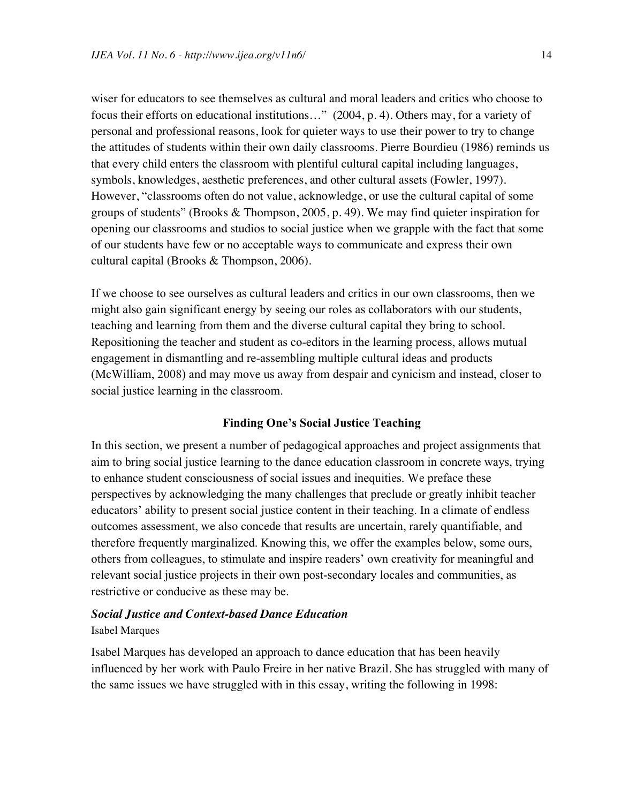wiser for educators to see themselves as cultural and moral leaders and critics who choose to focus their efforts on educational institutions…" (2004, p. 4). Others may, for a variety of personal and professional reasons, look for quieter ways to use their power to try to change the attitudes of students within their own daily classrooms. Pierre Bourdieu (1986) reminds us that every child enters the classroom with plentiful cultural capital including languages, symbols, knowledges, aesthetic preferences, and other cultural assets (Fowler, 1997). However, "classrooms often do not value, acknowledge, or use the cultural capital of some groups of students" (Brooks & Thompson, 2005, p. 49). We may find quieter inspiration for opening our classrooms and studios to social justice when we grapple with the fact that some of our students have few or no acceptable ways to communicate and express their own cultural capital (Brooks & Thompson, 2006).

If we choose to see ourselves as cultural leaders and critics in our own classrooms, then we might also gain significant energy by seeing our roles as collaborators with our students, teaching and learning from them and the diverse cultural capital they bring to school. Repositioning the teacher and student as co-editors in the learning process, allows mutual engagement in dismantling and re-assembling multiple cultural ideas and products (McWilliam, 2008) and may move us away from despair and cynicism and instead, closer to social justice learning in the classroom.

#### **Finding One's Social Justice Teaching**

In this section, we present a number of pedagogical approaches and project assignments that aim to bring social justice learning to the dance education classroom in concrete ways, trying to enhance student consciousness of social issues and inequities. We preface these perspectives by acknowledging the many challenges that preclude or greatly inhibit teacher educators' ability to present social justice content in their teaching. In a climate of endless outcomes assessment, we also concede that results are uncertain, rarely quantifiable, and therefore frequently marginalized. Knowing this, we offer the examples below, some ours, others from colleagues, to stimulate and inspire readers' own creativity for meaningful and relevant social justice projects in their own post-secondary locales and communities, as restrictive or conducive as these may be.

#### *Social Justice and Context-based Dance Education*

#### Isabel Marques

Isabel Marques has developed an approach to dance education that has been heavily influenced by her work with Paulo Freire in her native Brazil. She has struggled with many of the same issues we have struggled with in this essay, writing the following in 1998: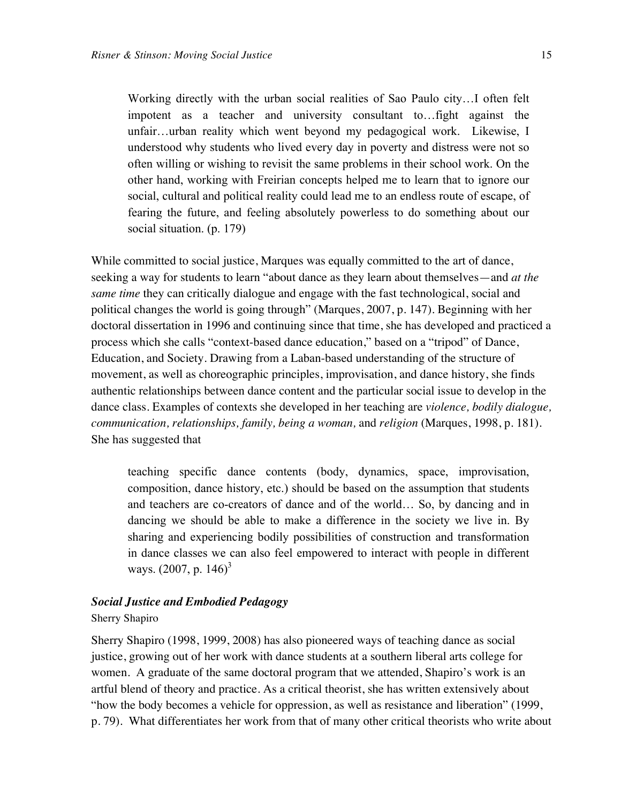Working directly with the urban social realities of Sao Paulo city…I often felt impotent as a teacher and university consultant to…fight against the unfair…urban reality which went beyond my pedagogical work. Likewise, I understood why students who lived every day in poverty and distress were not so often willing or wishing to revisit the same problems in their school work. On the other hand, working with Freirian concepts helped me to learn that to ignore our social, cultural and political reality could lead me to an endless route of escape, of fearing the future, and feeling absolutely powerless to do something about our social situation. (p. 179)

While committed to social justice, Marques was equally committed to the art of dance, seeking a way for students to learn "about dance as they learn about themselves—and *at the same time* they can critically dialogue and engage with the fast technological, social and political changes the world is going through" (Marques, 2007, p. 147). Beginning with her doctoral dissertation in 1996 and continuing since that time, she has developed and practiced a process which she calls "context-based dance education," based on a "tripod" of Dance, Education, and Society. Drawing from a Laban-based understanding of the structure of movement, as well as choreographic principles, improvisation, and dance history, she finds authentic relationships between dance content and the particular social issue to develop in the dance class. Examples of contexts she developed in her teaching are *violence, bodily dialogue, communication, relationships, family, being a woman,* and *religion* (Marques, 1998, p. 181). She has suggested that

teaching specific dance contents (body, dynamics, space, improvisation, composition, dance history, etc.) should be based on the assumption that students and teachers are co-creators of dance and of the world… So, by dancing and in dancing we should be able to make a difference in the society we live in. By sharing and experiencing bodily possibilities of construction and transformation in dance classes we can also feel empowered to interact with people in different ways.  $(2007, p. 146)^3$ 

#### *Social Justice and Embodied Pedagogy*

#### Sherry Shapiro

Sherry Shapiro (1998, 1999, 2008) has also pioneered ways of teaching dance as social justice, growing out of her work with dance students at a southern liberal arts college for women. A graduate of the same doctoral program that we attended, Shapiro's work is an artful blend of theory and practice. As a critical theorist, she has written extensively about "how the body becomes a vehicle for oppression, as well as resistance and liberation" (1999, p. 79). What differentiates her work from that of many other critical theorists who write about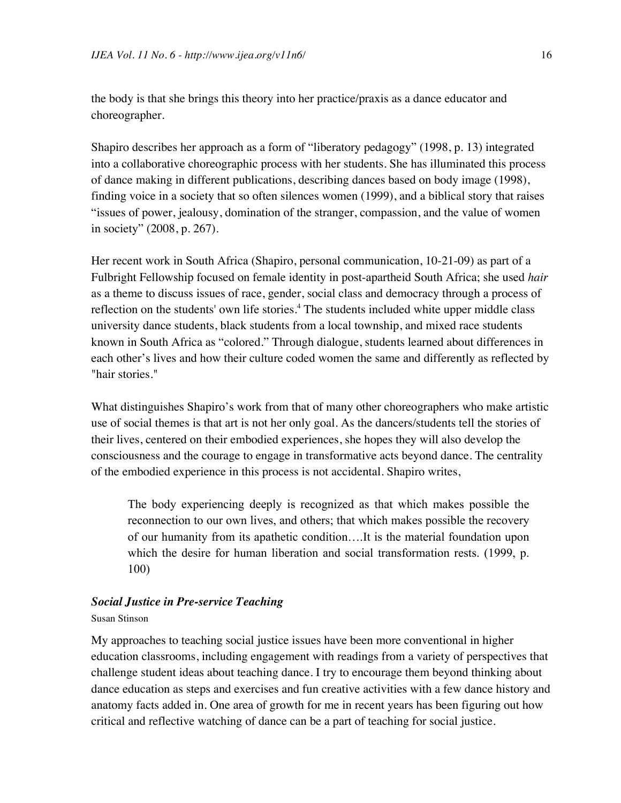the body is that she brings this theory into her practice/praxis as a dance educator and choreographer.

Shapiro describes her approach as a form of "liberatory pedagogy" (1998, p. 13) integrated into a collaborative choreographic process with her students. She has illuminated this process of dance making in different publications, describing dances based on body image (1998), finding voice in a society that so often silences women (1999), and a biblical story that raises "issues of power, jealousy, domination of the stranger, compassion, and the value of women in society" (2008, p. 267).

Her recent work in South Africa (Shapiro, personal communication, 10-21-09) as part of a Fulbright Fellowship focused on female identity in post-apartheid South Africa; she used *hair* as a theme to discuss issues of race, gender, social class and democracy through a process of reflection on the students' own life stories.<sup>4</sup> The students included white upper middle class university dance students, black students from a local township, and mixed race students known in South Africa as "colored." Through dialogue, students learned about differences in each other's lives and how their culture coded women the same and differently as reflected by "hair stories."

What distinguishes Shapiro's work from that of many other choreographers who make artistic use of social themes is that art is not her only goal. As the dancers/students tell the stories of their lives, centered on their embodied experiences, she hopes they will also develop the consciousness and the courage to engage in transformative acts beyond dance. The centrality of the embodied experience in this process is not accidental. Shapiro writes,

The body experiencing deeply is recognized as that which makes possible the reconnection to our own lives, and others; that which makes possible the recovery of our humanity from its apathetic condition….It is the material foundation upon which the desire for human liberation and social transformation rests. (1999, p. 100)

#### *Social Justice in Pre-service Teaching*

#### Susan Stinson

My approaches to teaching social justice issues have been more conventional in higher education classrooms, including engagement with readings from a variety of perspectives that challenge student ideas about teaching dance. I try to encourage them beyond thinking about dance education as steps and exercises and fun creative activities with a few dance history and anatomy facts added in. One area of growth for me in recent years has been figuring out how critical and reflective watching of dance can be a part of teaching for social justice.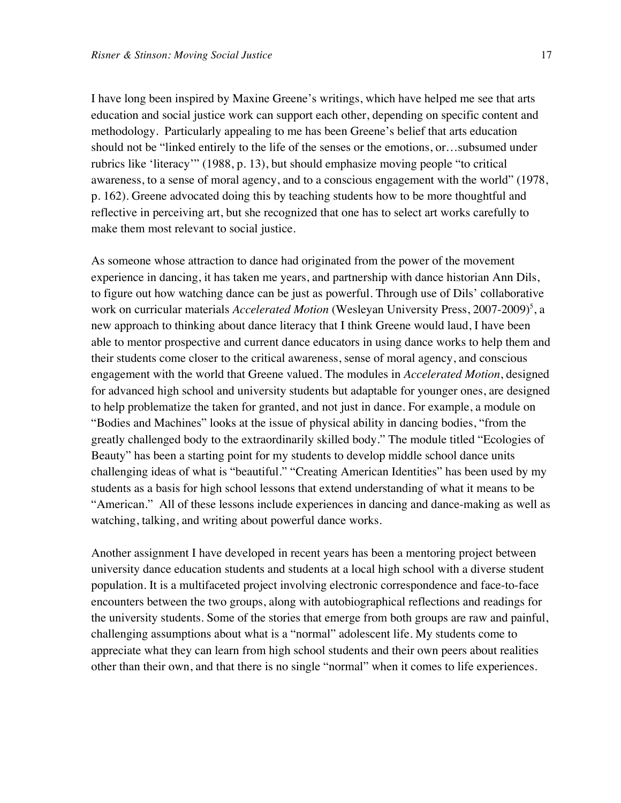I have long been inspired by Maxine Greene's writings, which have helped me see that arts education and social justice work can support each other, depending on specific content and methodology. Particularly appealing to me has been Greene's belief that arts education should not be "linked entirely to the life of the senses or the emotions, or…subsumed under rubrics like 'literacy'" (1988, p. 13), but should emphasize moving people "to critical awareness, to a sense of moral agency, and to a conscious engagement with the world" (1978, p. 162). Greene advocated doing this by teaching students how to be more thoughtful and reflective in perceiving art, but she recognized that one has to select art works carefully to make them most relevant to social justice.

As someone whose attraction to dance had originated from the power of the movement experience in dancing, it has taken me years, and partnership with dance historian Ann Dils, to figure out how watching dance can be just as powerful. Through use of Dils' collaborative work on curricular materials *Accelerated Motion* (Wesleyan University Press, 2007-2009)<sup>5</sup>, a new approach to thinking about dance literacy that I think Greene would laud, I have been able to mentor prospective and current dance educators in using dance works to help them and their students come closer to the critical awareness, sense of moral agency, and conscious engagement with the world that Greene valued. The modules in *Accelerated Motion*, designed for advanced high school and university students but adaptable for younger ones, are designed to help problematize the taken for granted, and not just in dance. For example, a module on "Bodies and Machines" looks at the issue of physical ability in dancing bodies, "from the greatly challenged body to the extraordinarily skilled body." The module titled "Ecologies of Beauty" has been a starting point for my students to develop middle school dance units challenging ideas of what is "beautiful." "Creating American Identities" has been used by my students as a basis for high school lessons that extend understanding of what it means to be "American." All of these lessons include experiences in dancing and dance-making as well as watching, talking, and writing about powerful dance works.

Another assignment I have developed in recent years has been a mentoring project between university dance education students and students at a local high school with a diverse student population. It is a multifaceted project involving electronic correspondence and face-to-face encounters between the two groups, along with autobiographical reflections and readings for the university students. Some of the stories that emerge from both groups are raw and painful, challenging assumptions about what is a "normal" adolescent life. My students come to appreciate what they can learn from high school students and their own peers about realities other than their own, and that there is no single "normal" when it comes to life experiences.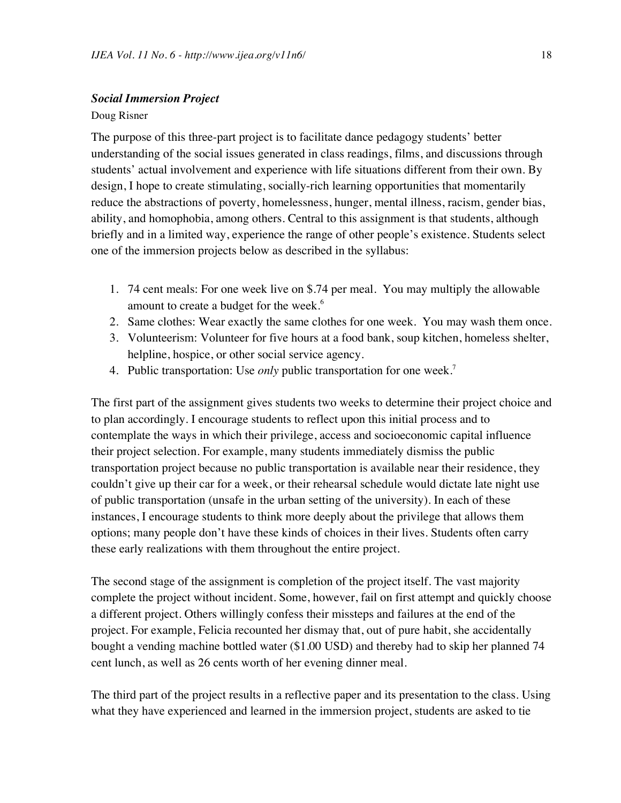#### *Social Immersion Project*

#### Doug Risner

The purpose of this three-part project is to facilitate dance pedagogy students' better understanding of the social issues generated in class readings, films, and discussions through students' actual involvement and experience with life situations different from their own. By design, I hope to create stimulating, socially-rich learning opportunities that momentarily reduce the abstractions of poverty, homelessness, hunger, mental illness, racism, gender bias, ability, and homophobia, among others. Central to this assignment is that students, although briefly and in a limited way, experience the range of other people's existence. Students select one of the immersion projects below as described in the syllabus:

- 1. 74 cent meals: For one week live on \$.74 per meal. You may multiply the allowable amount to create a budget for the week.<sup>6</sup>
- 2. Same clothes: Wear exactly the same clothes for one week. You may wash them once.
- 3. Volunteerism: Volunteer for five hours at a food bank, soup kitchen, homeless shelter, helpline, hospice, or other social service agency.
- 4. Public transportation: Use *only* public transportation for one week.7

The first part of the assignment gives students two weeks to determine their project choice and to plan accordingly. I encourage students to reflect upon this initial process and to contemplate the ways in which their privilege, access and socioeconomic capital influence their project selection. For example, many students immediately dismiss the public transportation project because no public transportation is available near their residence, they couldn't give up their car for a week, or their rehearsal schedule would dictate late night use of public transportation (unsafe in the urban setting of the university). In each of these instances, I encourage students to think more deeply about the privilege that allows them options; many people don't have these kinds of choices in their lives. Students often carry these early realizations with them throughout the entire project.

The second stage of the assignment is completion of the project itself. The vast majority complete the project without incident. Some, however, fail on first attempt and quickly choose a different project. Others willingly confess their missteps and failures at the end of the project. For example, Felicia recounted her dismay that, out of pure habit, she accidentally bought a vending machine bottled water (\$1.00 USD) and thereby had to skip her planned 74 cent lunch, as well as 26 cents worth of her evening dinner meal.

The third part of the project results in a reflective paper and its presentation to the class. Using what they have experienced and learned in the immersion project, students are asked to tie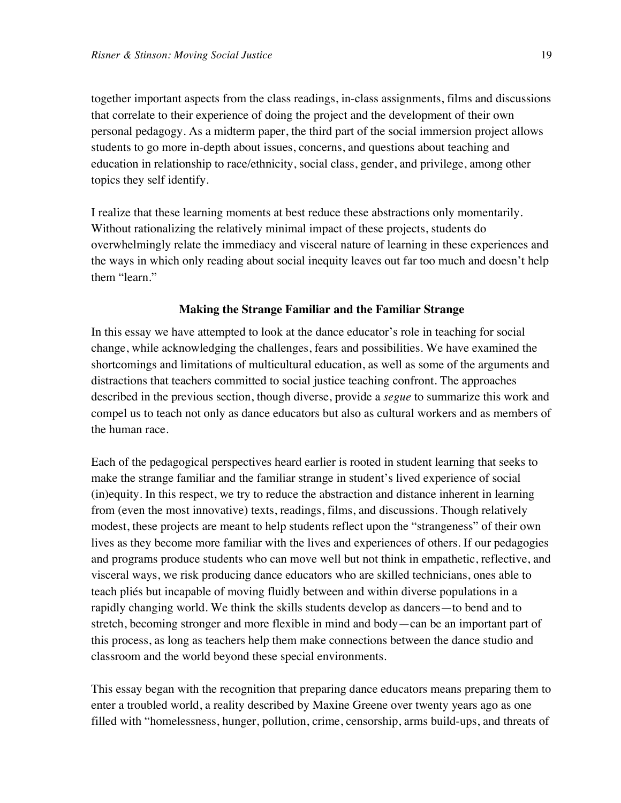together important aspects from the class readings, in-class assignments, films and discussions that correlate to their experience of doing the project and the development of their own personal pedagogy. As a midterm paper, the third part of the social immersion project allows students to go more in-depth about issues, concerns, and questions about teaching and education in relationship to race/ethnicity, social class, gender, and privilege, among other topics they self identify.

I realize that these learning moments at best reduce these abstractions only momentarily. Without rationalizing the relatively minimal impact of these projects, students do overwhelmingly relate the immediacy and visceral nature of learning in these experiences and the ways in which only reading about social inequity leaves out far too much and doesn't help them "learn."

#### **Making the Strange Familiar and the Familiar Strange**

In this essay we have attempted to look at the dance educator's role in teaching for social change, while acknowledging the challenges, fears and possibilities. We have examined the shortcomings and limitations of multicultural education, as well as some of the arguments and distractions that teachers committed to social justice teaching confront. The approaches described in the previous section, though diverse, provide a *segue* to summarize this work and compel us to teach not only as dance educators but also as cultural workers and as members of the human race.

Each of the pedagogical perspectives heard earlier is rooted in student learning that seeks to make the strange familiar and the familiar strange in student's lived experience of social (in)equity. In this respect, we try to reduce the abstraction and distance inherent in learning from (even the most innovative) texts, readings, films, and discussions. Though relatively modest, these projects are meant to help students reflect upon the "strangeness" of their own lives as they become more familiar with the lives and experiences of others. If our pedagogies and programs produce students who can move well but not think in empathetic, reflective, and visceral ways, we risk producing dance educators who are skilled technicians, ones able to teach pliés but incapable of moving fluidly between and within diverse populations in a rapidly changing world. We think the skills students develop as dancers—to bend and to stretch, becoming stronger and more flexible in mind and body—can be an important part of this process, as long as teachers help them make connections between the dance studio and classroom and the world beyond these special environments.

This essay began with the recognition that preparing dance educators means preparing them to enter a troubled world, a reality described by Maxine Greene over twenty years ago as one filled with "homelessness, hunger, pollution, crime, censorship, arms build-ups, and threats of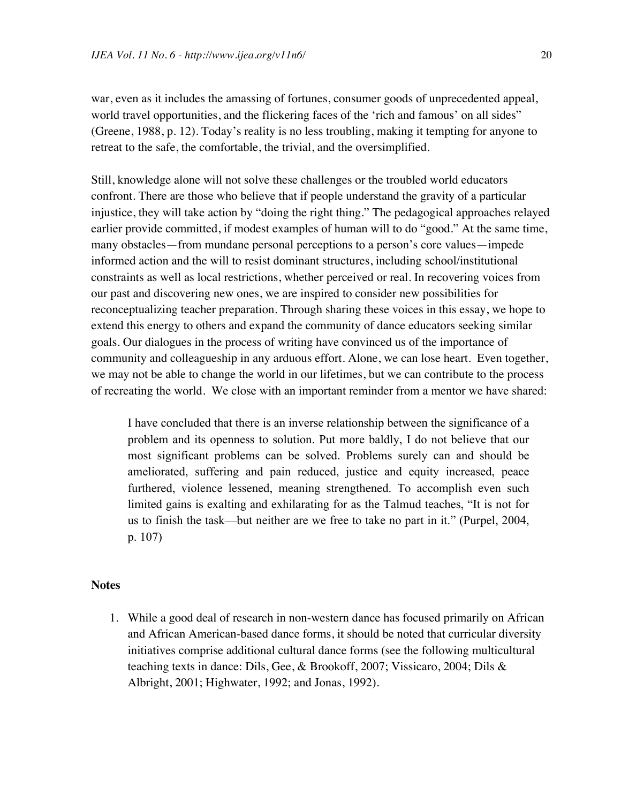war, even as it includes the amassing of fortunes, consumer goods of unprecedented appeal, world travel opportunities, and the flickering faces of the 'rich and famous' on all sides" (Greene, 1988, p. 12). Today's reality is no less troubling, making it tempting for anyone to retreat to the safe, the comfortable, the trivial, and the oversimplified.

Still, knowledge alone will not solve these challenges or the troubled world educators confront. There are those who believe that if people understand the gravity of a particular injustice, they will take action by "doing the right thing." The pedagogical approaches relayed earlier provide committed, if modest examples of human will to do "good." At the same time, many obstacles—from mundane personal perceptions to a person's core values—impede informed action and the will to resist dominant structures, including school/institutional constraints as well as local restrictions, whether perceived or real. In recovering voices from our past and discovering new ones, we are inspired to consider new possibilities for reconceptualizing teacher preparation. Through sharing these voices in this essay, we hope to extend this energy to others and expand the community of dance educators seeking similar goals. Our dialogues in the process of writing have convinced us of the importance of community and colleagueship in any arduous effort. Alone, we can lose heart. Even together, we may not be able to change the world in our lifetimes, but we can contribute to the process of recreating the world. We close with an important reminder from a mentor we have shared:

I have concluded that there is an inverse relationship between the significance of a problem and its openness to solution. Put more baldly, I do not believe that our most significant problems can be solved. Problems surely can and should be ameliorated, suffering and pain reduced, justice and equity increased, peace furthered, violence lessened, meaning strengthened. To accomplish even such limited gains is exalting and exhilarating for as the Talmud teaches, "It is not for us to finish the task—but neither are we free to take no part in it." (Purpel, 2004, p. 107)

#### **Notes**

1. While a good deal of research in non-western dance has focused primarily on African and African American-based dance forms, it should be noted that curricular diversity initiatives comprise additional cultural dance forms (see the following multicultural teaching texts in dance: Dils, Gee, & Brookoff, 2007; Vissicaro, 2004; Dils & Albright, 2001; Highwater, 1992; and Jonas, 1992).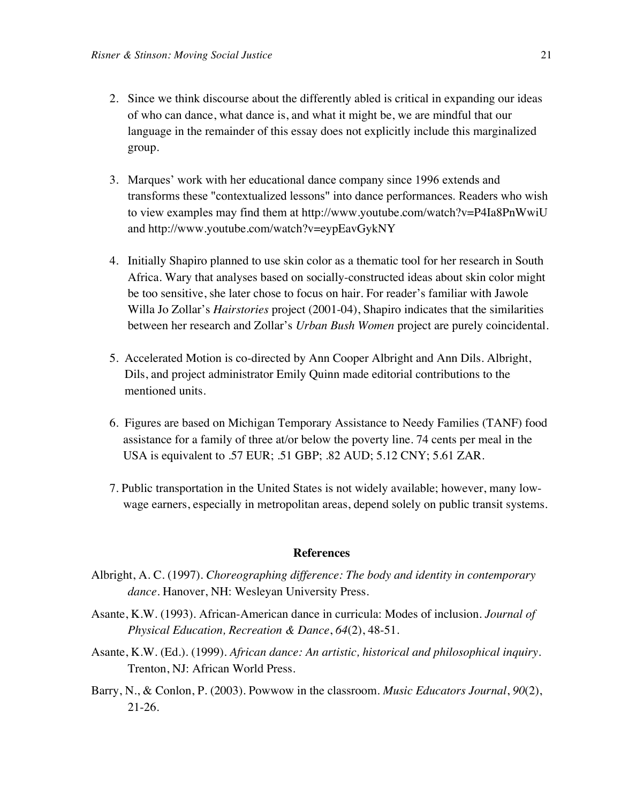- 2. Since we think discourse about the differently abled is critical in expanding our ideas of who can dance, what dance is, and what it might be, we are mindful that our language in the remainder of this essay does not explicitly include this marginalized group.
- 3. Marques' work with her educational dance company since 1996 extends and transforms these "contextualized lessons" into dance performances. Readers who wish to view examples may find them at http://www.youtube.com/watch?v=P4Ia8PnWwiU and http://www.youtube.com/watch?v=eypEavGykNY
- 4. Initially Shapiro planned to use skin color as a thematic tool for her research in South Africa. Wary that analyses based on socially-constructed ideas about skin color might be too sensitive, she later chose to focus on hair. For reader's familiar with Jawole Willa Jo Zollar's *Hairstories* project (2001-04), Shapiro indicates that the similarities between her research and Zollar's *Urban Bush Women* project are purely coincidental.
- 5. Accelerated Motion is co-directed by Ann Cooper Albright and Ann Dils. Albright, Dils, and project administrator Emily Quinn made editorial contributions to the mentioned units.
- 6. Figures are based on Michigan Temporary Assistance to Needy Families (TANF) food assistance for a family of three at/or below the poverty line. 74 cents per meal in the USA is equivalent to .57 EUR; .51 GBP; .82 AUD; 5.12 CNY; 5.61 ZAR.
- 7. Public transportation in the United States is not widely available; however, many lowwage earners, especially in metropolitan areas, depend solely on public transit systems.

#### **References**

- Albright, A. C. (1997). *Choreographing difference: The body and identity in contemporary dance*. Hanover, NH: Wesleyan University Press.
- Asante, K.W. (1993). African-American dance in curricula: Modes of inclusion. *Journal of Physical Education, Recreation & Dance*, *64*(2), 48-51.
- Asante, K.W. (Ed.). (1999). *African dance: An artistic, historical and philosophical inquiry*. Trenton, NJ: African World Press.
- Barry, N., & Conlon, P. (2003). Powwow in the classroom. *Music Educators Journal*, *90*(2), 21-26.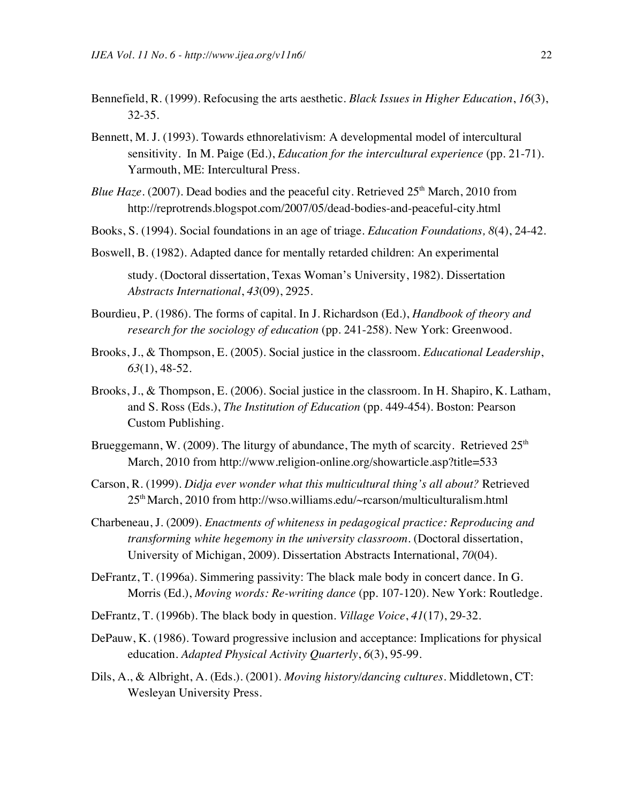- Bennefield, R. (1999). Refocusing the arts aesthetic. *Black Issues in Higher Education*, *16*(3), 32-35.
- Bennett, M. J. (1993). Towards ethnorelativism: A developmental model of intercultural sensitivity. In M. Paige (Ed.), *Education for the intercultural experience* (pp. 21-71). Yarmouth, ME: Intercultural Press.
- *Blue Haze*. (2007). Dead bodies and the peaceful city. Retrieved 25<sup>th</sup> March, 2010 from http://reprotrends.blogspot.com/2007/05/dead-bodies-and-peaceful-city.html
- Books, S. (1994). Social foundations in an age of triage. *Education Foundations, 8*(4), 24-42.
- Boswell, B. (1982). Adapted dance for mentally retarded children: An experimental study. (Doctoral dissertation, Texas Woman's University, 1982). Dissertation *Abstracts International*, *43*(09), 2925.
- Bourdieu, P. (1986). The forms of capital. In J. Richardson (Ed.), *Handbook of theory and research for the sociology of education (pp. 241-258). New York: Greenwood.*
- Brooks, J., & Thompson, E. (2005). Social justice in the classroom. *Educational Leadership*, *63*(1), 48-52.
- Brooks, J., & Thompson, E. (2006). Social justice in the classroom. In H. Shapiro, K. Latham, and S. Ross (Eds.), *The Institution of Education* (pp. 449-454). Boston: Pearson Custom Publishing.
- Brueggemann, W. (2009). The liturgy of abundance, The myth of scarcity. Retrieved  $25<sup>th</sup>$ March, 2010 from http://www.religion-online.org/showarticle.asp?title=533
- Carson, R. (1999). *Didja ever wonder what this multicultural thing's all about?* Retrieved 25th March, 2010 from http://wso.williams.edu/~rcarson/multiculturalism.html
- Charbeneau, J. (2009). *Enactments of whiteness in pedagogical practice: Reproducing and transforming white hegemony in the university classroom*. (Doctoral dissertation, University of Michigan, 2009). Dissertation Abstracts International, *70*(04).
- DeFrantz, T. (1996a). Simmering passivity: The black male body in concert dance. In G. Morris (Ed.), *Moving words: Re-writing dance* (pp. 107-120). New York: Routledge.
- DeFrantz, T. (1996b). The black body in question. *Village Voice*, *41*(17), 29-32.
- DePauw, K. (1986). Toward progressive inclusion and acceptance: Implications for physical education. *Adapted Physical Activity Quarterly*, *6*(3), 95-99.
- Dils, A., & Albright, A. (Eds.). (2001). *Moving history/dancing cultures*. Middletown, CT: Wesleyan University Press.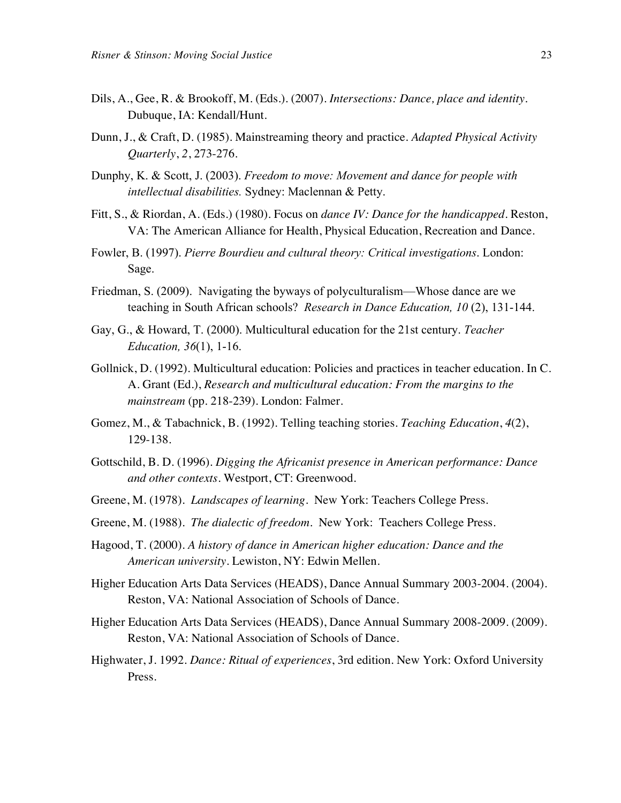- Dils, A., Gee, R. & Brookoff, M. (Eds.). (2007). *Intersections: Dance, place and identity*. Dubuque, IA: Kendall/Hunt.
- Dunn, J., & Craft, D. (1985). Mainstreaming theory and practice. *Adapted Physical Activity Quarterly*, *2*, 273-276.
- Dunphy, K. & Scott, J. (2003). *Freedom to move: Movement and dance for people with intellectual disabilities.* Sydney: Maclennan & Petty.
- Fitt, S., & Riordan, A. (Eds.) (1980). Focus on *dance IV: Dance for the handicapped*. Reston, VA: The American Alliance for Health, Physical Education, Recreation and Dance.
- Fowler, B. (1997). *Pierre Bourdieu and cultural theory: Critical investigations*. London: Sage.
- Friedman, S. (2009). Navigating the byways of polyculturalism—Whose dance are we teaching in South African schools? *Research in Dance Education, 10* (2), 131-144.
- Gay, G., & Howard, T. (2000). Multicultural education for the 21st century. *Teacher Education, 36*(1), 1-16.
- Gollnick, D. (1992). Multicultural education: Policies and practices in teacher education. In C. A. Grant (Ed.), *Research and multicultural education: From the margins to the mainstream* (pp. 218-239). London: Falmer.
- Gomez, M., & Tabachnick, B. (1992). Telling teaching stories. *Teaching Education*, *4*(2), 129-138.
- Gottschild, B. D. (1996). *Digging the Africanist presence in American performance: Dance and other contexts*. Westport, CT: Greenwood.
- Greene, M. (1978). *Landscapes of learning*. New York: Teachers College Press.
- Greene, M. (1988). *The dialectic of freedom*. New York: Teachers College Press.
- Hagood, T. (2000). *A history of dance in American higher education: Dance and the American university*. Lewiston, NY: Edwin Mellen.
- Higher Education Arts Data Services (HEADS), Dance Annual Summary 2003-2004. (2004). Reston, VA: National Association of Schools of Dance.
- Higher Education Arts Data Services (HEADS), Dance Annual Summary 2008-2009. (2009). Reston, VA: National Association of Schools of Dance.
- Highwater, J. 1992. *Dance: Ritual of experiences*, 3rd edition. New York: Oxford University Press.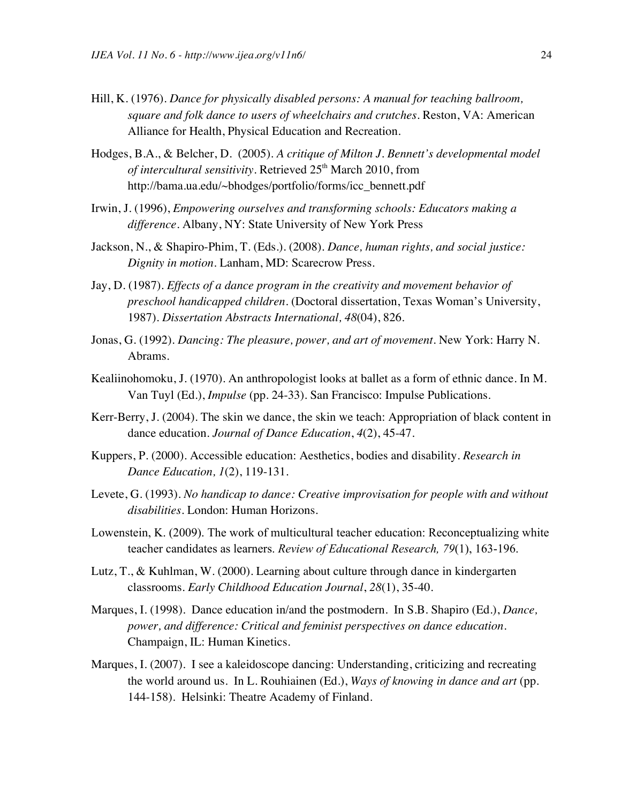- Hill, K. (1976). *Dance for physically disabled persons: A manual for teaching ballroom, square and folk dance to users of wheelchairs and crutches.* Reston, VA: American Alliance for Health, Physical Education and Recreation.
- Hodges, B.A., & Belcher, D. (2005). *A critique of Milton J. Bennett's developmental model of intercultural sensitivity*. Retrieved 25th March 2010, from http://bama.ua.edu/~bhodges/portfolio/forms/icc\_bennett.pdf
- Irwin, J. (1996), *Empowering ourselves and transforming schools: Educators making a difference.* Albany, NY: State University of New York Press
- Jackson, N., & Shapiro-Phim, T. (Eds.). (2008). *Dance, human rights, and social justice: Dignity in motion*. Lanham, MD: Scarecrow Press.
- Jay, D. (1987). *Effects of a dance program in the creativity and movement behavior of preschool handicapped children.* (Doctoral dissertation, Texas Woman's University, 1987). *Dissertation Abstracts International, 48*(04), 826.
- Jonas, G. (1992). *Dancing: The pleasure, power, and art of movement*. New York: Harry N. Abrams.
- Kealiinohomoku, J. (1970). An anthropologist looks at ballet as a form of ethnic dance. In M. Van Tuyl (Ed.), *Impulse* (pp. 24-33). San Francisco: Impulse Publications.
- Kerr-Berry, J. (2004). The skin we dance, the skin we teach: Appropriation of black content in dance education. *Journal of Dance Education*, *4*(2), 45-47.
- Kuppers, P. (2000). Accessible education: Aesthetics, bodies and disability. *Research in Dance Education, 1*(2), 119-131.
- Levete, G. (1993). *No handicap to dance: Creative improvisation for people with and without disabilities*. London: Human Horizons.
- Lowenstein, K. (2009). The work of multicultural teacher education: Reconceptualizing white teacher candidates as learners. *Review of Educational Research, 79*(1), 163-196.
- Lutz, T., & Kuhlman, W. (2000). Learning about culture through dance in kindergarten classrooms. *Early Childhood Education Journal*, *28*(1), 35-40.
- Marques, I. (1998). Dance education in/and the postmodern. In S.B. Shapiro (Ed.), *Dance, power, and difference: Critical and feminist perspectives on dance education*. Champaign, IL: Human Kinetics.
- Marques, I. (2007). I see a kaleidoscope dancing: Understanding, criticizing and recreating the world around us. In L. Rouhiainen (Ed.), *Ways of knowing in dance and art* (pp. 144-158). Helsinki: Theatre Academy of Finland.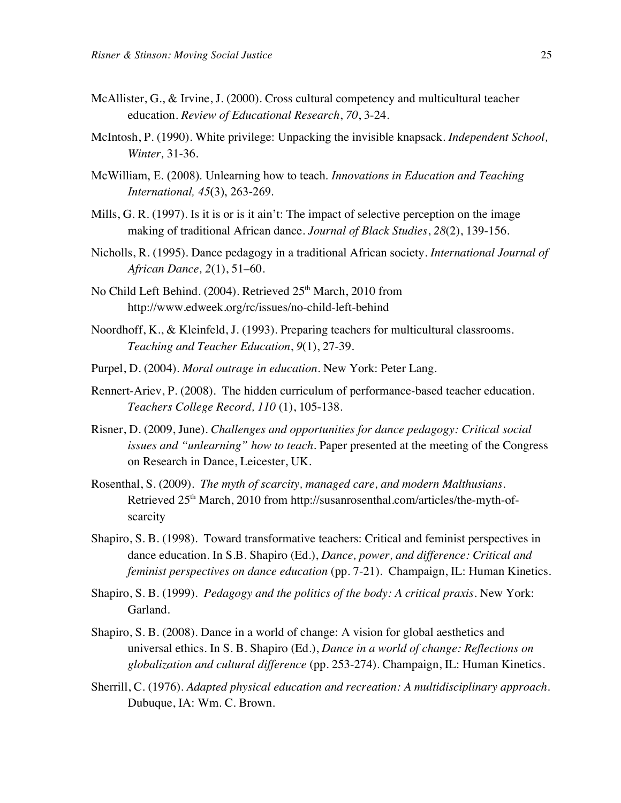- McAllister, G., & Irvine, J. (2000). Cross cultural competency and multicultural teacher education. *Review of Educational Research*, *70*, 3-24.
- McIntosh, P. (1990). White privilege: Unpacking the invisible knapsack. *Independent School, Winter,* 31-36*.*
- McWilliam, E. (2008). Unlearning how to teach. *Innovations in Education and Teaching International, 45*(3), 263-269.
- Mills, G. R. (1997). Is it is or is it ain't: The impact of selective perception on the image making of traditional African dance. *Journal of Black Studies*, *28*(2), 139-156.
- Nicholls, R. (1995). Dance pedagogy in a traditional African society. *International Journal of African Dance, 2*(1), 51–60.
- No Child Left Behind. (2004). Retrieved 25<sup>th</sup> March, 2010 from http://www.edweek.org/rc/issues/no-child-left-behind
- Noordhoff, K., & Kleinfeld, J. (1993). Preparing teachers for multicultural classrooms. *Teaching and Teacher Education*, *9*(1), 27-39.
- Purpel, D. (2004). *Moral outrage in education*. New York: Peter Lang.
- Rennert-Ariev, P. (2008). The hidden curriculum of performance-based teacher education. *Teachers College Record, 110* (1), 105-138.
- Risner, D. (2009, June). *Challenges and opportunities for dance pedagogy: Critical social issues and "unlearning" how to teach*. Paper presented at the meeting of the Congress on Research in Dance, Leicester, UK.
- Rosenthal, S. (2009). *The myth of scarcity, managed care, and modern Malthusians*. Retrieved 25<sup>th</sup> March, 2010 from http://susanrosenthal.com/articles/the-myth-ofscarcity
- Shapiro, S. B. (1998). Toward transformative teachers: Critical and feminist perspectives in dance education. In S.B. Shapiro (Ed.), *Dance, power, and difference: Critical and feminist perspectives on dance education* (pp. 7-21). Champaign, IL: Human Kinetics.
- Shapiro, S. B. (1999). *Pedagogy and the politics of the body: A critical praxis.* New York: Garland.
- Shapiro, S. B. (2008). Dance in a world of change: A vision for global aesthetics and universal ethics. In S. B. Shapiro (Ed.), *Dance in a world of change: Reflections on globalization and cultural difference* (pp. 253-274). Champaign, IL: Human Kinetics.
- Sherrill, C. (1976). *Adapted physical education and recreation: A multidisciplinary approach*. Dubuque, IA: Wm. C. Brown.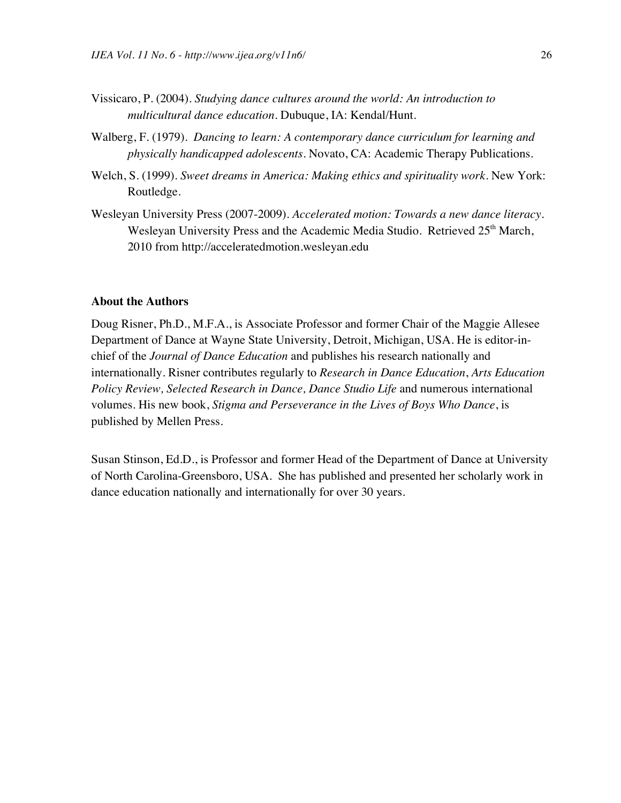- Vissicaro, P. (2004). *Studying dance cultures around the world: An introduction to multicultural dance education*. Dubuque, IA: Kendal/Hunt.
- Walberg, F. (1979). *Dancing to learn: A contemporary dance curriculum for learning and physically handicapped adolescents.* Novato, CA: Academic Therapy Publications.
- Welch, S. (1999). *Sweet dreams in America: Making ethics and spirituality work*. New York: Routledge.
- Wesleyan University Press (2007-2009). *Accelerated motion: Towards a new dance literacy.* Wesleyan University Press and the Academic Media Studio. Retrieved 25<sup>th</sup> March, 2010 from http://acceleratedmotion.wesleyan.edu

#### **About the Authors**

Doug Risner, Ph.D., M.F.A., is Associate Professor and former Chair of the Maggie Allesee Department of Dance at Wayne State University, Detroit, Michigan, USA. He is editor-inchief of the *Journal of Dance Education* and publishes his research nationally and internationally. Risner contributes regularly to *Research in Dance Education*, *Arts Education Policy Review, Selected Research in Dance, Dance Studio Life* and numerous international volumes*.* His new book, *Stigma and Perseverance in the Lives of Boys Who Dance*, is published by Mellen Press.

Susan Stinson, Ed.D., is Professor and former Head of the Department of Dance at University of North Carolina-Greensboro, USA. She has published and presented her scholarly work in dance education nationally and internationally for over 30 years.